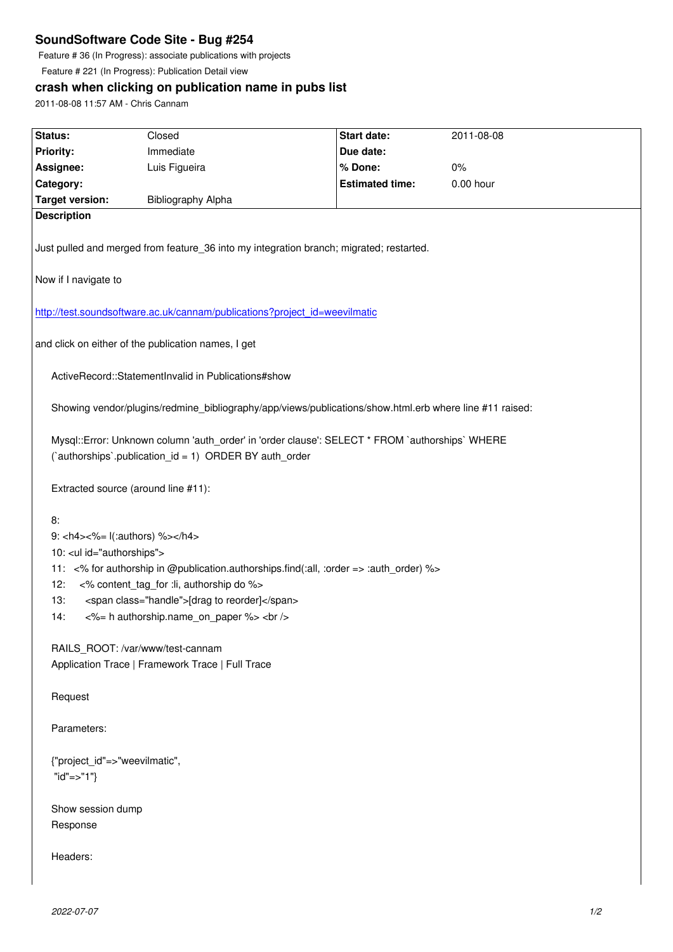Feature # 36 (In Progress): associate publications with projects

Feature # 221 (In Progress): Publication Detail view

## **crash when clicking on publication name in pubs list**

2011-08-08 11:57 AM - Chris Cannam

| Status:                                                                                                                                                  | Closed                    | <b>Start date:</b>     | 2011-08-08  |
|----------------------------------------------------------------------------------------------------------------------------------------------------------|---------------------------|------------------------|-------------|
| <b>Priority:</b>                                                                                                                                         | Immediate                 | Due date:              |             |
| Assignee:                                                                                                                                                | Luis Figueira             | % Done:                | 0%          |
| Category:                                                                                                                                                |                           | <b>Estimated time:</b> | $0.00$ hour |
| <b>Target version:</b>                                                                                                                                   | <b>Bibliography Alpha</b> |                        |             |
| <b>Description</b>                                                                                                                                       |                           |                        |             |
|                                                                                                                                                          |                           |                        |             |
| Just pulled and merged from feature_36 into my integration branch; migrated; restarted.                                                                  |                           |                        |             |
| Now if I navigate to                                                                                                                                     |                           |                        |             |
| http://test.soundsoftware.ac.uk/cannam/publications?project_id=weevilmatic                                                                               |                           |                        |             |
| and click on either of the publication names, I get                                                                                                      |                           |                        |             |
| ActiveRecord::StatementInvalid in Publications#show                                                                                                      |                           |                        |             |
| Showing vendor/plugins/redmine_bibliography/app/views/publications/show.html.erb where line #11 raised:                                                  |                           |                        |             |
| Mysql::Error: Unknown column 'auth_order' in 'order clause': SELECT * FROM `authorships` WHERE<br>(`authorships`.publication_id = 1) ORDER BY auth_order |                           |                        |             |
| Extracted source (around line #11):                                                                                                                      |                           |                        |             |
| 8:                                                                                                                                                       |                           |                        |             |
| 9: <h4>&lt;%= l(:authors) %&gt;</h4>                                                                                                                     |                           |                        |             |
| 10: <ul id="authorships"></ul>                                                                                                                           |                           |                        |             |
|                                                                                                                                                          |                           |                        |             |
| 11: <% for authorship in @publication.authorships.find(:all, :order => :auth_order) %>                                                                   |                           |                        |             |
| <% content tag for :li, authorship do %><br>12:                                                                                                          |                           |                        |             |
| <span class="handle">[drag to reorder]</span><br>13:                                                                                                     |                           |                        |             |
| <%= h authorship.name_on_paper %><br><br>14:                                                                                                             |                           |                        |             |
| RAILS_ROOT: /var/www/test-cannam                                                                                                                         |                           |                        |             |
| Application Trace   Framework Trace   Full Trace                                                                                                         |                           |                        |             |
| Request                                                                                                                                                  |                           |                        |             |
| Parameters:                                                                                                                                              |                           |                        |             |
| {"project_id"=>"weevilmatic",                                                                                                                            |                           |                        |             |
| " $id" => "1"$                                                                                                                                           |                           |                        |             |
|                                                                                                                                                          |                           |                        |             |
| Show session dump                                                                                                                                        |                           |                        |             |
| Response                                                                                                                                                 |                           |                        |             |
|                                                                                                                                                          |                           |                        |             |
| Headers:                                                                                                                                                 |                           |                        |             |
|                                                                                                                                                          |                           |                        |             |
|                                                                                                                                                          |                           |                        |             |